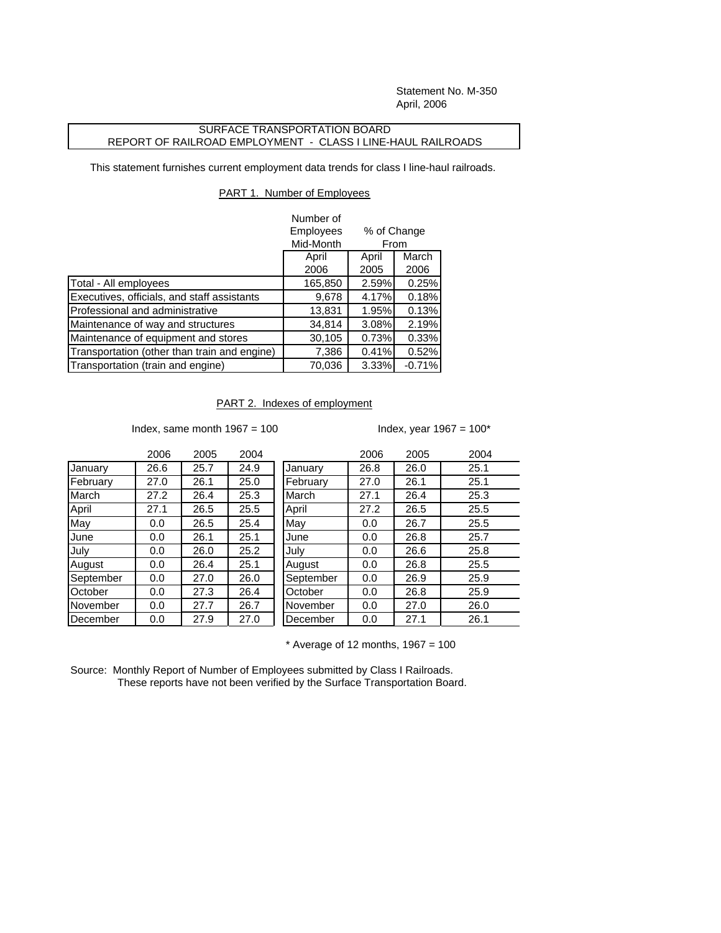Statement No. M-350 April, 2006

## SURFACE TRANSPORTATION BOARD REPORT OF RAILROAD EMPLOYMENT - CLASS I LINE-HAUL RAILROADS

This statement furnishes current employment data trends for class I line-haul railroads.

## PART 1. Number of Employees

|                                              | Number of |             |          |  |
|----------------------------------------------|-----------|-------------|----------|--|
|                                              | Employees | % of Change |          |  |
|                                              | Mid-Month | From        |          |  |
|                                              | April     | April       | March    |  |
|                                              | 2006      | 2005        | 2006     |  |
| Total - All employees                        | 165,850   | 2.59%       | 0.25%    |  |
| Executives, officials, and staff assistants  | 9,678     | 4.17%       | 0.18%    |  |
| Professional and administrative              | 13,831    | 1.95%       | 0.13%    |  |
| Maintenance of way and structures            | 34,814    | 3.08%       | 2.19%    |  |
| Maintenance of equipment and stores          | 30,105    | 0.73%       | 0.33%    |  |
| Transportation (other than train and engine) | 7,386     | 0.41%       | 0.52%    |  |
| Transportation (train and engine)            | 70,036    | 3.33%       | $-0.71%$ |  |

## PART 2. Indexes of employment

Index, same month  $1967 = 100$  Index, year  $1967 = 100^*$ 

|           | 2006 | 2005 | 2004 |           | 2006 | 2005 | 2004 |
|-----------|------|------|------|-----------|------|------|------|
| January   | 26.6 | 25.7 | 24.9 | January   | 26.8 | 26.0 | 25.1 |
| February  | 27.0 | 26.1 | 25.0 | February  | 27.0 | 26.1 | 25.1 |
| March     | 27.2 | 26.4 | 25.3 | March     | 27.1 | 26.4 | 25.3 |
| April     | 27.1 | 26.5 | 25.5 | April     | 27.2 | 26.5 | 25.5 |
| Mav       | 0.0  | 26.5 | 25.4 | May       | 0.0  | 26.7 | 25.5 |
| June      | 0.0  | 26.1 | 25.1 | June      | 0.0  | 26.8 | 25.7 |
| July      | 0.0  | 26.0 | 25.2 | July      | 0.0  | 26.6 | 25.8 |
| August    | 0.0  | 26.4 | 25.1 | August    | 0.0  | 26.8 | 25.5 |
| September | 0.0  | 27.0 | 26.0 | September | 0.0  | 26.9 | 25.9 |
| October   | 0.0  | 27.3 | 26.4 | October   | 0.0  | 26.8 | 25.9 |
| November  | 0.0  | 27.7 | 26.7 | November  | 0.0  | 27.0 | 26.0 |
| December  | 0.0  | 27.9 | 27.0 | December  | 0.0  | 27.1 | 26.1 |
|           |      |      |      |           |      |      |      |

 $*$  Average of 12 months, 1967 = 100

Source: Monthly Report of Number of Employees submitted by Class I Railroads. These reports have not been verified by the Surface Transportation Board.